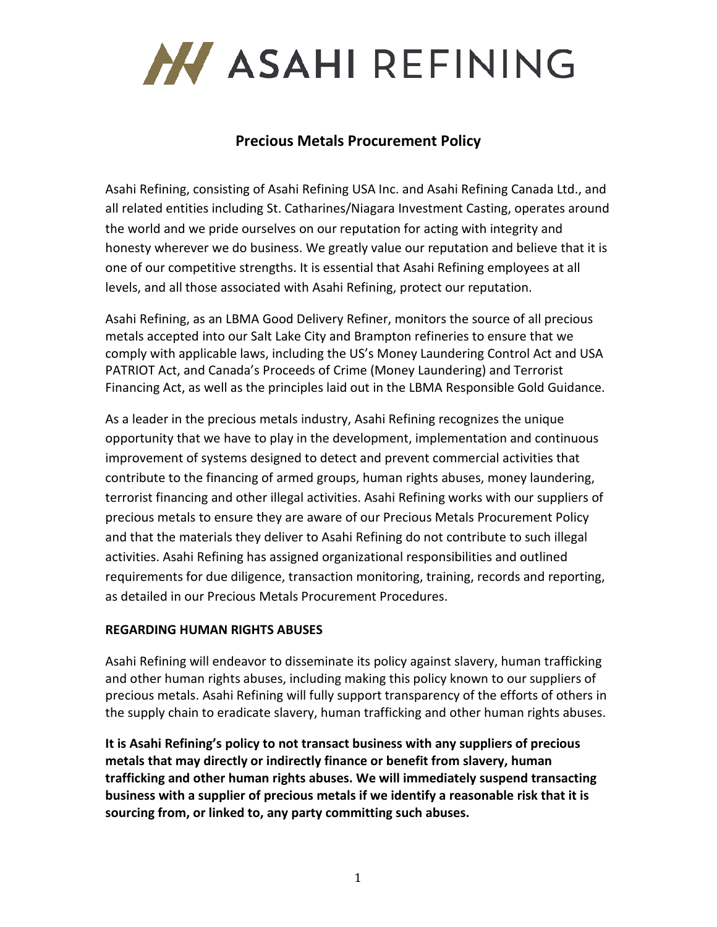

# **Precious Metals Procurement Policy**

Asahi Refining, consisting of Asahi Refining USA Inc. and Asahi Refining Canada Ltd., and all related entities including St. Catharines/Niagara Investment Casting, operates around the world and we pride ourselves on our reputation for acting with integrity and honesty wherever we do business. We greatly value our reputation and believe that it is one of our competitive strengths. It is essential that Asahi Refining employees at all levels, and all those associated with Asahi Refining, protect our reputation.

Asahi Refining, as an LBMA Good Delivery Refiner, monitors the source of all precious metals accepted into our Salt Lake City and Brampton refineries to ensure that we comply with applicable laws, including the US's Money Laundering Control Act and USA PATRIOT Act, and Canada's Proceeds of Crime (Money Laundering) and Terrorist Financing Act, as well as the principles laid out in the LBMA Responsible Gold Guidance.

As a leader in the precious metals industry, Asahi Refining recognizes the unique opportunity that we have to play in the development, implementation and continuous improvement of systems designed to detect and prevent commercial activities that contribute to the financing of armed groups, human rights abuses, money laundering, terrorist financing and other illegal activities. Asahi Refining works with our suppliers of precious metals to ensure they are aware of our Precious Metals Procurement Policy and that the materials they deliver to Asahi Refining do not contribute to such illegal activities. Asahi Refining has assigned organizational responsibilities and outlined requirements for due diligence, transaction monitoring, training, records and reporting, as detailed in our Precious Metals Procurement Procedures.

### **REGARDING HUMAN RIGHTS ABUSES**

Asahi Refining will endeavor to disseminate its policy against slavery, human trafficking and other human rights abuses, including making this policy known to our suppliers of precious metals. Asahi Refining will fully support transparency of the efforts of others in the supply chain to eradicate slavery, human trafficking and other human rights abuses.

**It is Asahi Refining's policy to not transact business with any suppliers of precious metals that may directly or indirectly finance or benefit from slavery, human trafficking and other human rights abuses. We will immediately suspend transacting business with a supplier of precious metals if we identify a reasonable risk that it is sourcing from, or linked to, any party committing such abuses.**